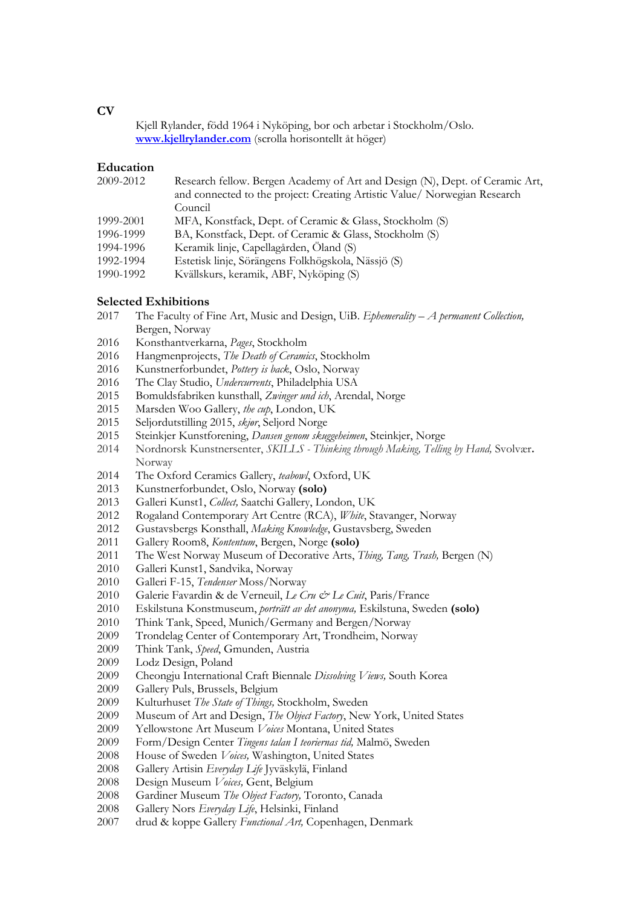**CV**

Kjell Rylander, född 1964 i Nyköping, bor och arbetar i Stockholm/Oslo. **[www.kjellrylander.com](http://www.kjellrylander.com/)** (scrolla horisontellt åt höger)

### **Education**

| 2009-2012 | Research fellow. Bergen Academy of Art and Design (N), Dept. of Ceramic Art, |
|-----------|------------------------------------------------------------------------------|
|           | and connected to the project: Creating Artistic Value/ Norwegian Research    |
|           | Council                                                                      |
| 1999-2001 | MFA, Konstfack, Dept. of Ceramic & Glass, Stockholm (S)                      |
| 1996-1999 | BA, Konstfack, Dept. of Ceramic & Glass, Stockholm (S)                       |
| 1994-1996 | Keramik linje, Capellagården, Öland (S)                                      |
| 1992-1994 | Estetisk linje, Sörängens Folkhögskola, Nässjö (S)                           |
| 1990-1992 | Kvällskurs, keramik, ABF, Nyköping (S)                                       |
|           |                                                                              |

# **Selected Exhibitions**<br>2017 The Faculty of E

- The Faculty of Fine Art, Music and Design, UiB. *Ephemerality – A permanent Collection,*  Bergen, Norway
- Konsthantverkarna, *Pages*, Stockholm
- Hangmenprojects, *The Death of Ceramics*, Stockholm
- Kunstnerforbundet, *Pottery is back*, Oslo, Norway
- The Clay Studio, *Undercurrents*, Philadelphia USA
- Bomuldsfabriken kunsthall, *Zwinger und ich*, Arendal, Norge
- 2015 Marsden Woo Gallery, *the cup*, London, UK<br>2015 Seliordutstilling 2015, *skier*, Seliord Norge
- Seljordutstilling 2015, *skjør*, Seljord Norge
- Steinkjer Kunstforening, *Dansen genom skuggeheimen*, Steinkjer, Norge
- 2014 Nordnorsk Kunstnersenter, *SKILLS - Thinking through Making, Telling by Hand,* Svolvær**.**  Norway
- 2014 The Oxford Ceramics Gallery, *teabowl*, Oxford, UK<br>2013 Kunstnerforbundet. Oslo. Norway (solo)
- Kunstnerforbundet, Oslo, Norway **(solo)**
- Galleri Kunst1, *Collect,* Saatchi Gallery, London, UK
- Rogaland Contemporary Art Centre (RCA), *White*, Stavanger, Norway
- Gustavsbergs Konsthall, *Making Knowledge*, Gustavsberg, Sweden
- Gallery Room8, *Kontentum*, Bergen, Norge **(solo)**
- The West Norway Museum of Decorative Arts, *Thing, Tang, Trash,* Bergen (N)
- Galleri Kunst1, Sandvika, Norway
- Galleri F-15, *Tendenser* Moss/Norway
- 2010 Galerie Favardin & de Verneuil, *Le Cru & Le Cuit*, Paris/France
- Eskilstuna Konstmuseum, *porträtt av det anonyma,* Eskilstuna, Sweden **(solo)**
- Think Tank, Speed, Munich/Germany and Bergen/Norway
- Trondelag Center of Contemporary Art, Trondheim, Norway
- Think Tank, *Speed*, Gmunden, Austria
- Lodz Design, Poland
- Cheongju International Craft Biennale *Dissolving Views,* South Korea
- Gallery Puls, Brussels, Belgium
- Kulturhuset *The State of Things,* Stockholm, Sweden
- Museum of Art and Design, *The Object Factory*, New York, United States
- Yellowstone Art Museum *Voices* Montana, United States
- Form/Design Center *Tingens talan I teoriernas tid,* Malmö, Sweden
- House of Sweden *Voices,* Washington, United States
- Gallery Artisin *Everyday Life* Jyväskylä, Finland
- Design Museum *Voices,* Gent, Belgium
- Gardiner Museum *The Object Factory,* Toronto, Canada
- Gallery Nors *Everyday Life*, Helsinki, Finland
- drud & koppe Gallery *Functional Art,* Copenhagen, Denmark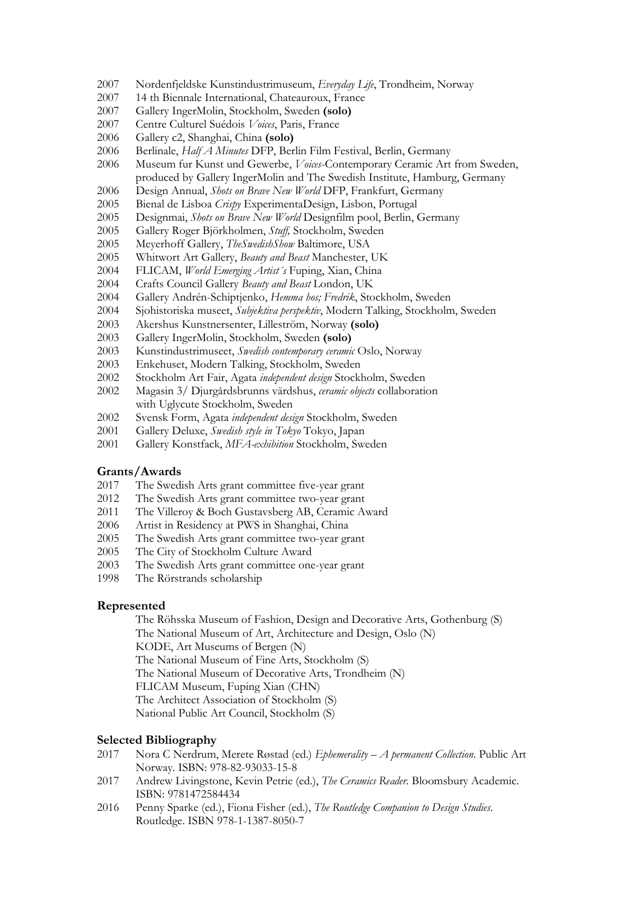- Nordenfjeldske Kunstindustrimuseum, *Everyday Life*, Trondheim, Norway
- 14 th Biennale International, Chateauroux, France
- Gallery IngerMolin, Stockholm, Sweden **(solo)**
- Centre Culturel Suédois *Voices*, Paris, France
- Gallery c2, Shanghai, China **(solo)**
- Berlinale, *Half A Minutes* DFP, Berlin Film Festival, Berlin, Germany
- Museum fur Kunst und Gewerbe, *Voices*-Contemporary Ceramic Art from Sweden, produced by Gallery IngerMolin and The Swedish Institute, Hamburg, Germany
- Design Annual, *Shots on Brave New World* DFP, Frankfurt, Germany
- Bienal de Lisboa *Crispy* ExperimentaDesign, Lisbon, Portugal
- Designmai, *Shots on Brave New World* Designfilm pool, Berlin, Germany
- Gallery Roger Björkholmen, *Stuff,* Stockholm, Sweden
- 2005 Meyerhoff Gallery, *TheSwedishShow* Baltimore, USA<br>2005 Whitwort Art Gallery. *Beauty and Beast Manchester*.
- Whitwort Art Gallery, *Beauty and Beast* Manchester, UK
- FLICAM, *World Emerging Artist´s* Fuping, Xian, China
- Crafts Council Gallery *Beauty and Beast* London, UK
- Gallery Andrén-Schiptjenko, *Hemma hos; Fredrik*, Stockholm, Sweden
- Sjohistoriska museet, *Subjektiva perspektiv*, Modern Talking, Stockholm, Sweden
- Akershus Kunstnersenter, Lilleström, Norway **(solo)**
- Gallery IngerMolin, Stockholm, Sweden **(solo)**
- Kunstindustrimuseet, *Swedish contemporary ceramic* Oslo, Norway
- Enkehuset, Modern Talking, Stockholm, Sweden
- Stockholm Art Fair, Agata *independent design* Stockholm, Sweden
- Magasin 3/ Djurgårdsbrunns värdshus, *ceramic objects* collaboration with Uglycute Stockholm, Sweden
- Svensk Form, Agata *independent design* Stockholm, Sweden
- Gallery Deluxe, *Swedish style in Tokyo* Tokyo, Japan
- Gallery Konstfack, *MFA-exhibition* Stockholm, Sweden

# **Grants/Awards**<br>2017 The Swed

- The Swedish Arts grant committee five-year grant
- The Swedish Arts grant committee two-year grant
- The Villeroy & Boch Gustavsberg AB, Ceramic Award
- Artist in Residency at PWS in Shanghai, China
- The Swedish Arts grant committee two-year grant
- The City of Stockholm Culture Award
- The Swedish Arts grant committee one-year grant
- The Rörstrands scholarship

#### **Represented**

The Röhsska Museum of Fashion, Design and Decorative Arts, Gothenburg (S) The National Museum of Art, Architecture and Design, Oslo (N) KODE, Art Museums of Bergen (N) The National Museum of Fine Arts, Stockholm (S) The National Museum of Decorative Arts, Trondheim (N) FLICAM Museum, Fuping Xian (CHN) The Architect Association of Stockholm (S) National Public Art Council, Stockholm (S)

- **Selected Bibliography**<br>2017 Nora C Nerdrum. Nora C Nerdrum, Merete Røstad (ed.) *Ephemerality – A permanent Collection.* Public Art Norway. ISBN: 978-82-93033-15-8
- Andrew Livingstone, Kevin Petrie (ed.), *The Ceramics Reader.* Bloomsbury Academic. ISBN: 9781472584434
- Penny Sparke (ed.), Fiona Fisher (ed.), *The Routledge Companion to Design Studies*. Routledge. ISBN 978-1-1387-8050-7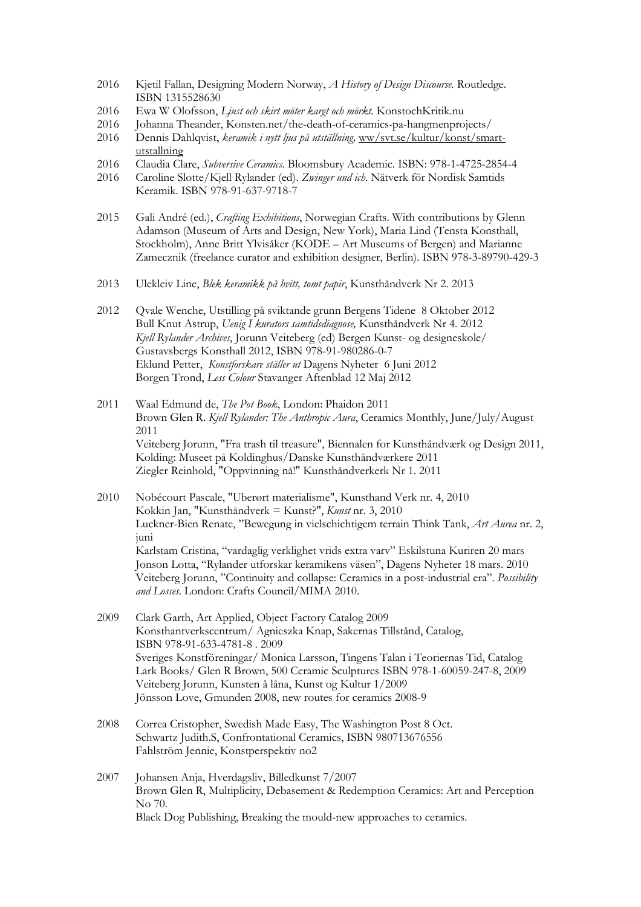- 2016 Kjetil Fallan, Designing Modern Norway, *A History of Design Discourse.* Routledge. ISBN 1315528630
- 2016 Ewa W Olofsson, *Ljust och skirt möter kargt och mörkt.* KonstochKritik.nu
- 2016 Johanna Theander, Konsten.net/the-death-of-ceramics-pa-hangmenprojects/<br>2016 Dennis Dahlqvist, keramik i nytt lius på utställning, ww/syt.se/kultur/konst/sma
- 2016 Dennis Dahlqvist, *keramik i nytt ljus på utställning,* [ww/svt.se/kultur/konst/smart](http://www.svt.se/kultur/konst/smart-utstallning)[utstallning](http://www.svt.se/kultur/konst/smart-utstallning)
- 2016 Claudia Clare, *Subversive Ceramics*. Bloomsbury Academic. ISBN: 978-1-4725-2854-4<br>2016 Caroline Slotte/Kiell Rylander (ed). *Zwinger und ich*. Nätverk för Nordisk Samtids
- 2016 Caroline Slotte/Kjell Rylander (ed). *Zwinger und ich*. Nätverk för Nordisk Samtids Keramik. ISBN 978-91-637-9718-7
- 2015 Gali André (ed.), *Crafting Exhibitions*, Norwegian Crafts. With contributions by Glenn Adamson (Museum of Arts and Design, New York), Maria Lind (Tensta Konsthall, Stockholm), Anne Britt Ylvisåker (KODE – Art Museums of Bergen) and Marianne Zamecznik (freelance curator and exhibition designer, Berlin). ISBN 978-3-89790-429-3
- 2013 Ulekleiv Line, *Blek keramikk på hvitt, tomt papir*, Kunsthåndverk Nr 2. 2013
- 2012 Qvale Wenche, Utstilling på sviktande grunn Bergens Tidene 8 Oktober 2012 Bull Knut Astrup, *Uenig I kurators samtidsdiagnose,* Kunsthåndverk Nr 4. 2012 *Kjell Rylander Archives*, Jorunn Veiteberg (ed) Bergen Kunst- og designeskole/ Gustavsbergs Konsthall 2012, ISBN 978-91-980286-0-7 Eklund Petter, *Konstforskare ställer ut* Dagens Nyheter 6 Juni 2012 Borgen Trond, *Less Colour* Stavanger Aftenblad 12 Maj 2012
- 2011 Waal Edmund de, *The Pot Book*, London: Phaidon 2011 Brown Glen R. *Kjell Rylander: The Anthropic Aura*, Ceramics Monthly, June/July/August 2011 Veiteberg Jorunn, "Fra trash til treasure", Biennalen for Kunsthåndværk og Design 2011, Kolding: Museet på Koldinghus/Danske Kunsthåndværkere 2011 Ziegler Reinhold, "Oppvinning nå!" Kunsthåndverkerk Nr 1. 2011
- 2010 Nobécourt Pascale, "Uberørt materialisme", Kunsthand Verk nr. 4, 2010 Kokkin Jan, "Kunsthåndverk = Kunst?", *Kunst* nr. 3, 2010 Luckner-Bien Renate, "Bewegung in vielschichtigem terrain Think Tank, *Art Aurea* nr. 2, juni Karlstam Cristina, "vardaglig verklighet vrids extra varv" Eskilstuna Kuriren 20 mars Jonson Lotta, "Rylander utforskar keramikens väsen", Dagens Nyheter 18 mars. 2010 Veiteberg Jorunn, "Continuity and collapse: Ceramics in a post-industrial era". *Possibility and Losses*. London: Crafts Council/MIMA 2010.
- 2009 Clark Garth, Art Applied, Object Factory Catalog 2009 Konsthantverkscentrum/ Agnieszka Knap, Sakernas Tillstånd, Catalog, ISBN 978-91-633-4781-8 . 2009 Sveriges Konstföreningar/ Monica Larsson, Tingens Talan i Teoriernas Tid, Catalog Lark Books/ Glen R Brown, 500 Ceramic Sculptures ISBN 978-1-60059-247-8, 2009 Veiteberg Jorunn, Kunsten å låna, Kunst og Kultur 1/2009 Jönsson Love, Gmunden 2008, new routes for ceramics 2008-9
- 2008 Correa Cristopher, Swedish Made Easy, The Washington Post 8 Oct. Schwartz Judith.S, Confrontational Ceramics, ISBN 980713676556 Fahlström Jennie, Konstperspektiv no2
- 2007 Johansen Anja, Hverdagsliv, Billedkunst 7/2007 Brown Glen R, Multiplicity, Debasement & Redemption Ceramics: Art and Perception No 70. Black Dog Publishing, Breaking the mould-new approaches to ceramics.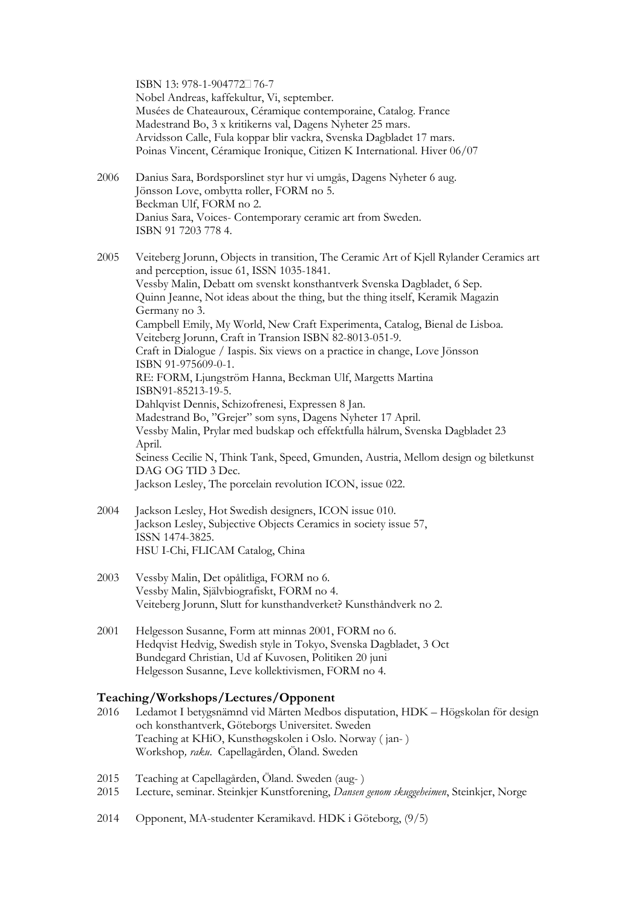ISBN 13: 978-1-904772<sup>1</sup>76-7 Nobel Andreas, kaffekultur, Vi, september. Musées de Chateauroux, Céramique contemporaine, Catalog. France Madestrand Bo, 3 x kritikerns val, Dagens Nyheter 25 mars. Arvidsson Calle, Fula koppar blir vackra, Svenska Dagbladet 17 mars. Poinas Vincent, Céramique Ironique, Citizen K International. Hiver 06/07

2006 Danius Sara, Bordsporslinet styr hur vi umgås, Dagens Nyheter 6 aug. Jönsson Love, ombytta roller, FORM no 5. Beckman Ulf, FORM no 2. Danius Sara, Voices- Contemporary ceramic art from Sweden. ISBN 91 7203 778 4.

2005 Veiteberg Jorunn, Objects in transition, The Ceramic Art of Kjell Rylander Ceramics art and perception, issue 61, ISSN 1035-1841. Vessby Malin, Debatt om svenskt konsthantverk Svenska Dagbladet, 6 Sep. Quinn Jeanne, Not ideas about the thing, but the thing itself, Keramik Magazin Germany no 3. Campbell Emily, My World, New Craft Experimenta, Catalog, Bienal de Lisboa. Veiteberg Jorunn, Craft in Transion ISBN 82-8013-051-9. Craft in Dialogue / Iaspis. Six views on a practice in change, Love Jönsson ISBN 91-975609-0-1. RE: FORM, Ljungström Hanna, Beckman Ulf, Margetts Martina ISBN91-85213-19-5. Dahlqvist Dennis, Schizofrenesi, Expressen 8 Jan. Madestrand Bo, "Grejer" som syns, Dagens Nyheter 17 April. Vessby Malin, Prylar med budskap och effektfulla hålrum, Svenska Dagbladet 23 April. Seiness Cecilie N, Think Tank, Speed, Gmunden, Austria, Mellom design og biletkunst DAG OG TID 3 Dec. Jackson Lesley, The porcelain revolution ICON, issue 022.

- 2004 Jackson Lesley, Hot Swedish designers, ICON issue 010. Jackson Lesley, Subjective Objects Ceramics in society issue 57, ISSN 1474-3825. HSU I-Chi, FLICAM Catalog, China
- 2003 Vessby Malin, Det opålitliga, FORM no 6. Vessby Malin, Självbiografiskt, FORM no 4. Veiteberg Jorunn, Slutt for kunsthandverket? Kunsthåndverk no 2.
- 2001 Helgesson Susanne, Form att minnas 2001, FORM no 6. Hedqvist Hedvig, Swedish style in Tokyo, Svenska Dagbladet, 3 Oct Bundegard Christian, Ud af Kuvosen, Politiken 20 juni Helgesson Susanne, Leve kollektivismen, FORM no 4.

### **Teaching/Workshops/Lectures/Opponent**

- 2016 Ledamot I betygsnämnd vid Mårten Medbos disputation, HDK Högskolan för design och konsthantverk, Göteborgs Universitet. Sweden Teaching at KHiO, Kunsthøgskolen i Oslo. Norway ( jan- ) Workshop*, raku*. Capellagården, Öland. Sweden
- 2015 Teaching at Capellagården, Öland. Sweden (aug- )
- 2015 Lecture, seminar. Steinkjer Kunstforening, *Dansen genom skuggeheimen*, Steinkjer, Norge
- 2014 Opponent, MA-studenter Keramikavd. HDK i Göteborg, (9/5)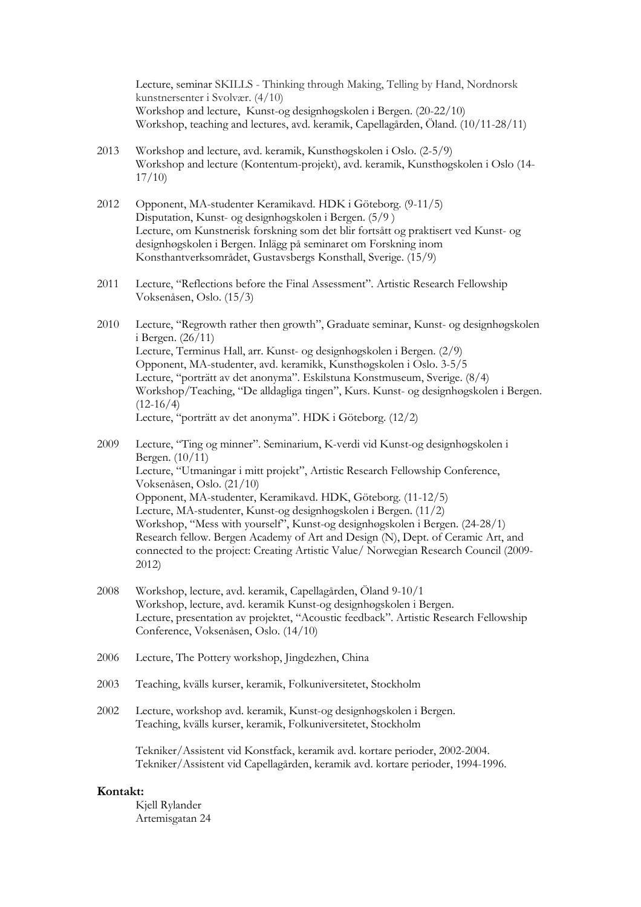Lecture, seminar SKILLS - Thinking through Making, Telling by Hand, Nordnorsk kunstnersenter i Svolvær. (4/10) Workshop and lecture, Kunst-og designhøgskolen i Bergen. (20-22/10) Workshop, teaching and lectures, avd. keramik, Capellagården, Öland. (10/11-28/11)

- 2013 Workshop and lecture, avd. keramik, Kunsthøgskolen i Oslo. (2-5/9) Workshop and lecture (Kontentum-projekt), avd. keramik, Kunsthøgskolen i Oslo (14- 17/10)
- 2012 Opponent, MA-studenter Keramikavd. HDK i Göteborg. (9-11/5) Disputation, Kunst- og designhøgskolen i Bergen. (5/9 ) Lecture, om Kunstnerisk forskning som det blir fortsått og praktisert ved Kunst- og designhøgskolen i Bergen. Inlägg på seminaret om Forskning inom Konsthantverksområdet, Gustavsbergs Konsthall, Sverige. (15/9)
- 2011 Lecture, "Reflections before the Final Assessment". Artistic Research Fellowship Voksenåsen, Oslo. (15/3)
- 2010 Lecture, "Regrowth rather then growth", Graduate seminar, Kunst- og designhøgskolen i Bergen. (26/11) Lecture, Terminus Hall, arr. Kunst- og designhøgskolen i Bergen. (2/9) Opponent, MA-studenter, avd. keramikk, Kunsthøgskolen i Oslo. 3-5/5 Lecture, "porträtt av det anonyma". Eskilstuna Konstmuseum, Sverige. (8/4) Workshop/Teaching, "De alldagliga tingen", Kurs. Kunst- og designhøgskolen i Bergen.  $(12-16/4)$ Lecture, "porträtt av det anonyma". HDK i Göteborg. (12/2)

2009 Lecture, "Ting og minner". Seminarium, K-verdi vid Kunst-og designhøgskolen i Bergen. (10/11) Lecture, "Utmaningar i mitt projekt", Artistic Research Fellowship Conference, Voksenåsen, Oslo. (21/10) Opponent, MA-studenter, Keramikavd. HDK, Göteborg. (11-12/5) Lecture, MA-studenter, Kunst-og designhøgskolen i Bergen. (11/2) Workshop, "Mess with yourself", Kunst-og designhøgskolen i Bergen. (24-28/1) Research fellow. Bergen Academy of Art and Design (N), Dept. of Ceramic Art, and connected to the project: Creating Artistic Value/ Norwegian Research Council (2009- 2012)

- 2008 Workshop, lecture, avd. keramik, Capellagården, Öland 9-10/1 Workshop, lecture, avd. keramik Kunst-og designhøgskolen i Bergen. Lecture, presentation av projektet, "Acoustic feedback". Artistic Research Fellowship Conference, Voksenåsen, Oslo. (14/10)
- 2006 Lecture, The Pottery workshop, Jingdezhen, China
- 2003 Teaching, kvälls kurser, keramik, Folkuniversitetet, Stockholm
- 2002 Lecture, workshop avd. keramik, Kunst-og designhøgskolen i Bergen. Teaching, kvälls kurser, keramik, Folkuniversitetet, Stockholm

Tekniker/Assistent vid Konstfack, keramik avd. kortare perioder, 2002-2004. Tekniker/Assistent vid Capellagården, keramik avd. kortare perioder, 1994-1996.

#### **Kontakt:**

Kjell Rylander Artemisgatan 24